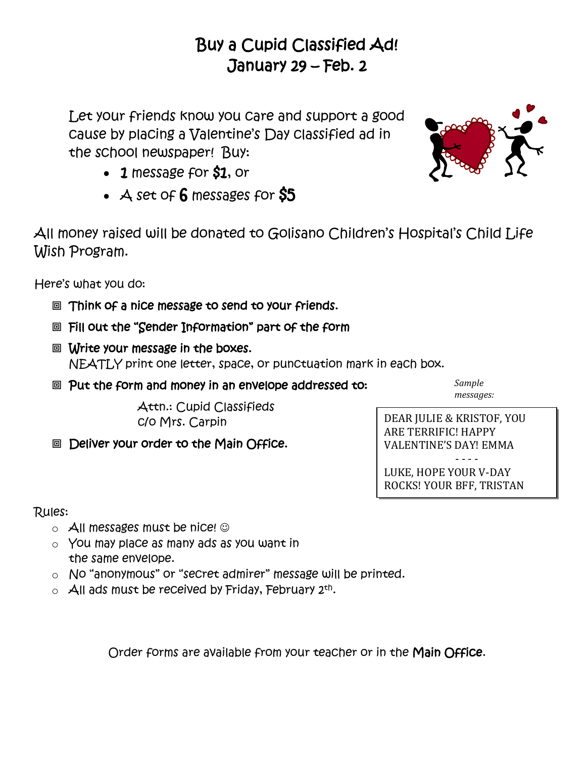## Buy a Cupid Classified Ad! January 29 – Feb. 2

Let your friends know you care and support a good cause by placing a Valentine's Day classified ad in the school newspaper! Buy:

- 1 message for \$1, or
- $\overline{A}$  set of 6 messages for  $\overline{S5}$

All money raised will be donated to Golisano Children's Hospital's Child Life Wish Program.

Here's what you do:

- Think of a nice message to send to your friends.
- **回 Fill out the "Sender Information" part of the form**
- Write your message in the boxes. NEATLY print one letter, space, or punctuation mark in each box.
- **© Put the form and money in an envelope addressed to:**

*Sample messages:*

Attn.: Cupid Classifieds c/o Mrs. Carpin

**©** Deliver your order to the Main Office.

DEAR JULIE & KRISTOF, YOU ARE TERRIFIC! HAPPY VALENTINE'S DAY! EMMA - - - -

LUKE, HOPE YOUR V-DAY ROCKS! YOUR BFF, TRISTAN

Rules:

- $\circ$  All messages must be nice!  $\odot$
- o You may place as many ads as you want in the same envelope.
- o No "anonymous" or "secret admirer" message will be printed.
- $\circ$  All ads must be received by Friday, February 2th.

Order forms are available from your teacher or in the Main Office.

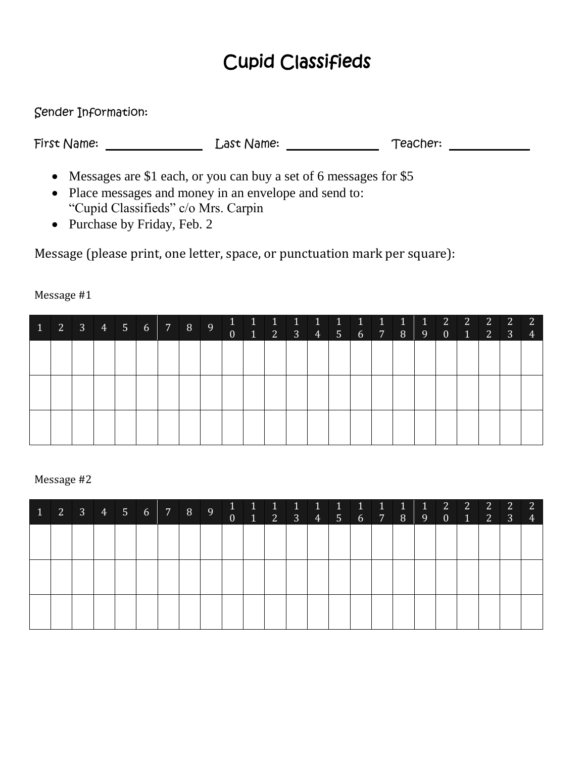# Cupid Classifieds

Sender Information:

First Name: Last Name: Teacher:

- Messages are \$1 each, or you can buy a set of 6 messages for \$5
- Place messages and money in an envelope and send to: "Cupid Classifieds" c/o Mrs. Carpin
- Purchase by Friday, Feb. 2

Message (please print, one letter, space, or punctuation mark per square):

| $\vert 1 \vert$ |  |  |  |  | $\overline{0}$ | $\sqrt{1}$ |  |  |  |  | $0 \quad 1$ | $2 \mid 3 \mid$ | $\overline{2}$<br>$\overline{4}$ |
|-----------------|--|--|--|--|----------------|------------|--|--|--|--|-------------|-----------------|----------------------------------|
|                 |  |  |  |  |                |            |  |  |  |  |             |                 |                                  |
|                 |  |  |  |  |                |            |  |  |  |  |             |                 |                                  |
|                 |  |  |  |  |                |            |  |  |  |  |             |                 |                                  |

Message #1

#### Message #2

| 234567890 |  |  |  |  | $1$ 2 3 4 5 6 7 8 9 0 1 2 |  |  |  |  |  | 3 <sup>2</sup> | <sup>2</sup><br>$\overline{4}$ |
|-----------|--|--|--|--|---------------------------|--|--|--|--|--|----------------|--------------------------------|
|           |  |  |  |  |                           |  |  |  |  |  |                |                                |
|           |  |  |  |  |                           |  |  |  |  |  |                |                                |
|           |  |  |  |  |                           |  |  |  |  |  |                |                                |
|           |  |  |  |  |                           |  |  |  |  |  |                |                                |